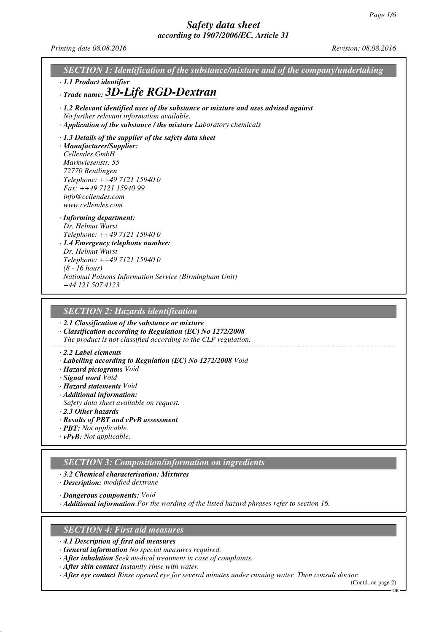*Printing date 08.08.2016 Revision: 08.08.2016*

*SECTION 1: Identification of the substance/mixture and of the company/undertaking · 1.1 Product identifier · Trade name: 3D-Life RGD-Dextran · 1.2 Relevant identified uses of the substance or mixture and uses advised against No further relevant information available. · Application of the substance / the mixture Laboratory chemicals · 1.3 Details of the supplier of the safety data sheet · Manufacturer/Supplier: Cellendes GmbH Markwiesenstr. 55 72770 Reutlingen Telephone: ++49 7121 15940 0 Fax: ++49 7121 15940 99 info@cellendes.com www.cellendes.com · Informing department: Dr. Helmut Wurst Telephone: ++49 7121 15940 0 · 1.4 Emergency telephone number: Dr. Helmut Wurst Telephone: ++49 7121 15940 0 (8 - 16 hour) National Poisons Information Service (Birmingham Unit) +44 121 507 4123 SECTION 2: Hazards identification · 2.1 Classification of the substance or mixture · Classification according to Regulation (EC) No 1272/2008 The product is not classified according to the CLP regulation.*

#### *· 2.2 Label elements*

- *· Labelling according to Regulation (EC) No 1272/2008 Void*
- *· Hazard pictograms Void*
- *· Signal word Void*
- *· Hazard statements Void*
- *· Additional information:*
- *Safety data sheet available on request.*
- *· 2.3 Other hazards*

#### *· Results of PBT and vPvB assessment*

- *· PBT: Not applicable.*
- *· vPvB: Not applicable.*

### *SECTION 3: Composition/information on ingredients*

#### *· 3.2 Chemical characterisation: Mixtures*

*· Description: modified dextrane*

*· Dangerous components: Void*

*· Additional information For the wording of the listed hazard phrases refer to section 16.*

### *SECTION 4: First aid measures*

*· 4.1 Description of first aid measures*

*· General information No special measures required.*

*· After inhalation Seek medical treatment in case of complaints.*

*· After skin contact Instantly rinse with water.*

*· After eye contact Rinse opened eye for several minutes under running water. Then consult doctor.*

(Contd. on page 2) GB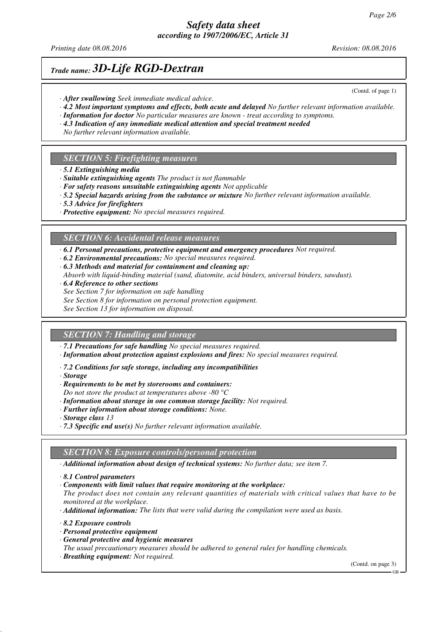*Printing date 08.08.2016 Revision: 08.08.2016*

(Contd. of page 1)

## *Trade name: 3D-Life RGD-Dextran*

- *· After swallowing Seek immediate medical advice.*
- *· 4.2 Most important symptoms and effects, both acute and delayed No further relevant information available.*
- *· Information for doctor No particular measures are known treat according to symptoms. · 4.3 Indication of any immediate medical attention and special treatment needed*
- *No further relevant information available.*

### *SECTION 5: Firefighting measures*

- *· 5.1 Extinguishing media*
- *· Suitable extinguishing agents The product is not flammable*
- *· For safety reasons unsuitable extinguishing agents Not applicable*
- *· 5.2 Special hazards arising from the substance or mixture No further relevant information available.*
- *· 5.3 Advice for firefighters*
- *· Protective equipment: No special measures required.*

### *SECTION 6: Accidental release measures*

- *· 6.1 Personal precautions, protective equipment and emergency procedures Not required.*
- *· 6.2 Environmental precautions: No special measures required.*
- *· 6.3 Methods and material for containment and cleaning up: Absorb with liquid-binding material (sand, diatomite, acid binders, universal binders, sawdust).*
- *· 6.4 Reference to other sections*
- *See Section 7 for information on safe handling*
- *See Section 8 for information on personal protection equipment.*
- *See Section 13 for information on disposal.*

### *SECTION 7: Handling and storage*

- *· 7.1 Precautions for safe handling No special measures required.*
- *· Information about protection against explosions and fires: No special measures required.*
- *· 7.2 Conditions for safe storage, including any incompatibilities*
- *· Storage*
- *· Requirements to be met by storerooms and containers:*
- *Do not store the product at temperatures above -80 °C*
- *· Information about storage in one common storage facility: Not required.*
- *· Further information about storage conditions: None.*
- *· Storage class 13*
- *· 7.3 Specific end use(s) No further relevant information available.*

### *SECTION 8: Exposure controls/personal protection*

- *· Additional information about design of technical systems: No further data; see item 7.*
- *· 8.1 Control parameters*
- *· Components with limit values that require monitoring at the workplace:*

*The product does not contain any relevant quantities of materials with critical values that have to be monitored at the workplace.*

*· Additional information: The lists that were valid during the compilation were used as basis.*

- *· 8.2 Exposure controls*
- *· Personal protective equipment*
- *· General protective and hygienic measures*

*The usual precautionary measures should be adhered to general rules for handling chemicals.*

*· Breathing equipment: Not required.*

(Contd. on page 3)

GB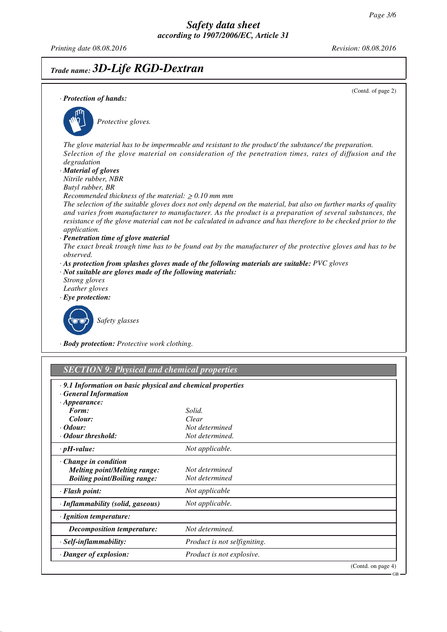GB

*Printing date 08.08.2016 Revision: 08.08.2016*

# *Trade name: 3D-Life RGD-Dextran*

(Contd. of page 2) *· Protection of hands: Protective gloves. The glove material has to be impermeable and resistant to the product/ the substance/ the preparation. Selection of the glove material on consideration of the penetration times, rates of diffusion and the degradation · Material of gloves Nitrile rubber, NBR Butyl rubber, BR Recommended thickness of the material:* ≥ *0.10 mm mm The selection of the suitable gloves does not only depend on the material, but also on further marks of quality and varies from manufacturer to manufacturer. As the product is a preparation of several substances, the resistance of the glove material can not be calculated in advance and has therefore to be checked prior to the application. · Penetration time of glove material The exact break trough time has to be found out by the manufacturer of the protective gloves and has to be observed. · As protection from splashes gloves made of the following materials are suitable: PVC gloves · Not suitable are gloves made of the following materials: Strong gloves Leather gloves · Eye protection: Safety glasses*

*· Body protection: Protective work clothing.*

| $\cdot$ 9.1 Information on basic physical and chemical properties |                                  |  |
|-------------------------------------------------------------------|----------------------------------|--|
| · General Information                                             |                                  |  |
| $\cdot$ Appearance:                                               |                                  |  |
| Form:                                                             | Solid.                           |  |
| Colour:                                                           | Clear                            |  |
| <i>Codour:</i>                                                    | Not determined                   |  |
| · Odour threshold:                                                | Not determined.                  |  |
| $\cdot$ pH-value:                                                 | Not applicable.                  |  |
| $\cdot$ Change in condition                                       |                                  |  |
| <b>Melting point/Melting range:</b>                               | Not determined                   |  |
| <b>Boiling point/Boiling range:</b>                               | Not determined                   |  |
| · Flash point:                                                    | Not applicable                   |  |
| · Inflammability (solid, gaseous)                                 | Not applicable.                  |  |
| · Ignition temperature:                                           |                                  |  |
| Decomposition temperature:                                        | Not determined.                  |  |
| · Self-inflammability:                                            | Product is not selfigniting.     |  |
| · Danger of explosion:                                            | <i>Product is not explosive.</i> |  |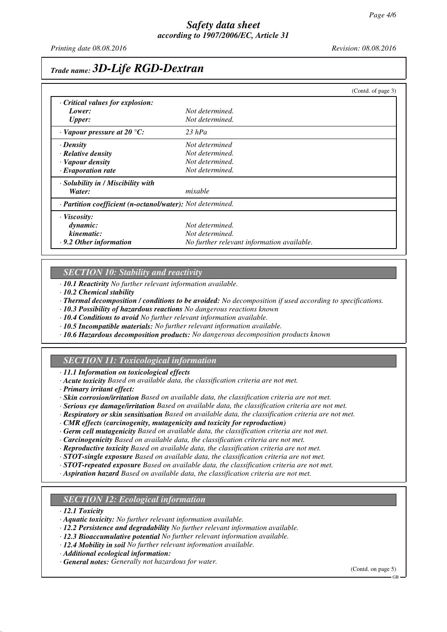*Printing date 08.08.2016 Revision: 08.08.2016*

## *Trade name: 3D-Life RGD-Dextran*

|                                                                   |                                            | (Contd. of page 3) |
|-------------------------------------------------------------------|--------------------------------------------|--------------------|
| Critical values for explosion:                                    |                                            |                    |
| Lower:                                                            | Not determined.                            |                    |
| <b>Upper:</b>                                                     | Not determined.                            |                    |
| $\cdot$ Vapour pressure at 20 °C:                                 | $23$ hPa                                   |                    |
| · Density                                                         | Not determined                             |                    |
| $\cdot$ Relative density                                          | Not determined.                            |                    |
| · Vapour density                                                  | Not determined.                            |                    |
| $\cdot$ Evaporation rate                                          | Not determined.                            |                    |
| · Solubility in / Miscibility with                                |                                            |                    |
| Water:                                                            | mixable                                    |                    |
| · <b>Partition coefficient (n-octanol/water):</b> Not determined. |                                            |                    |
| · Viscosity:                                                      |                                            |                    |
| dynamic:                                                          | Not determined.                            |                    |
| kinematic:                                                        | Not determined.                            |                    |
| $\cdot$ 9.2 Other information                                     | No further relevant information available. |                    |

## *SECTION 10: Stability and reactivity*

*· 10.1 Reactivity No further relevant information available.*

*· 10.2 Chemical stability*

*· Thermal decomposition / conditions to be avoided: No decomposition if used according to specifications.*

*· 10.3 Possibility of hazardous reactions No dangerous reactions known*

*· 10.4 Conditions to avoid No further relevant information available.*

- *· 10.5 Incompatible materials: No further relevant information available.*
- *· 10.6 Hazardous decomposition products: No dangerous decomposition products known*

### *SECTION 11: Toxicological information*

*· 11.1 Information on toxicological effects*

- *· Acute toxicity Based on available data, the classification criteria are not met.*
- *· Primary irritant effect:*

*· Skin corrosion/irritation Based on available data, the classification criteria are not met.*

- *· Serious eye damage/irritation Based on available data, the classification criteria are not met.*
- *· Respiratory or skin sensitisation Based on available data, the classification criteria are not met.*
- *· CMR effects (carcinogenity, mutagenicity and toxicity for reproduction)*
- *· Germ cell mutagenicity Based on available data, the classification criteria are not met.*
- *· Carcinogenicity Based on available data, the classification criteria are not met.*
- *· Reproductive toxicity Based on available data, the classification criteria are not met.*
- *· STOT-single exposure Based on available data, the classification criteria are not met.*
- *· STOT-repeated exposure Based on available data, the classification criteria are not met.*
- *· Aspiration hazard Based on available data, the classification criteria are not met.*

### *SECTION 12: Ecological information*

*· 12.1 Toxicity*

- *· Aquatic toxicity: No further relevant information available.*
- *· 12.2 Persistence and degradability No further relevant information available.*
- *· 12.3 Bioaccumulative potential No further relevant information available.*
- *· 12.4 Mobility in soil No further relevant information available.*

*· Additional ecological information:*

*· General notes: Generally not hazardous for water.*

(Contd. on page 5)

GB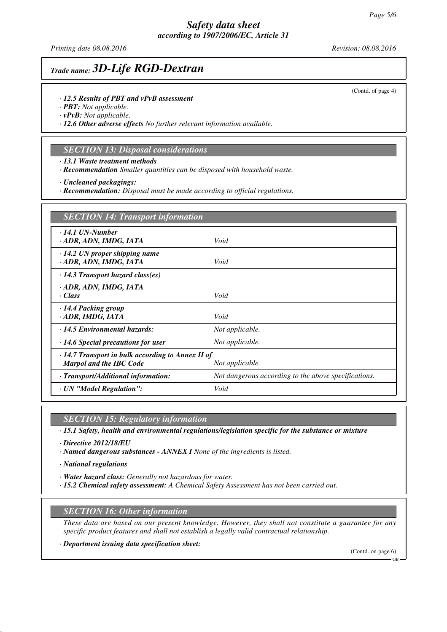## *Safety data sheet according to 1907/2006/EC, Article 31*

*Printing date 08.08.2016 Revision: 08.08.2016*

## *Trade name: 3D-Life RGD-Dextran*

- *· 12.5 Results of PBT and vPvB assessment*
- *· PBT: Not applicable.*

*· vPvB: Not applicable.*

*· 12.6 Other adverse effects No further relevant information available.*

### *SECTION 13: Disposal considerations*

*· 13.1 Waste treatment methods*

*· Recommendation Smaller quantities can be disposed with household waste.*

*· Uncleaned packagings:*

*· Recommendation: Disposal must be made according to official regulations.*

| <b>SECTION 14: Transport information</b>                                                                     |                                                      |  |
|--------------------------------------------------------------------------------------------------------------|------------------------------------------------------|--|
| $\cdot$ 14.1 UN-Number<br>· ADR, ADN, IMDG, IATA                                                             | Void                                                 |  |
| $\cdot$ 14.2 UN proper shipping name<br>· ADR, ADN, IMDG, IATA                                               | Void                                                 |  |
| $\cdot$ 14.3 Transport hazard class(es)                                                                      |                                                      |  |
| · ADR, ADN, IMDG, IATA<br>$\cdot Class$                                                                      | Void                                                 |  |
| · 14.4 Packing group<br>· ADR, IMDG, IATA                                                                    | Void                                                 |  |
| · 14.5 Environmental hazards:                                                                                | Not applicable.                                      |  |
| $\cdot$ 14.6 Special precautions for user                                                                    | Not applicable.                                      |  |
| $\cdot$ 14.7 Transport in bulk according to Annex II of<br><b>Marpol and the IBC Code</b><br>Not applicable. |                                                      |  |
| · Transport/Additional information:                                                                          | Not dangerous according to the above specifications. |  |
| · UN "Model Regulation":                                                                                     | Void                                                 |  |

*SECTION 15: Regulatory information*

*· 15.1 Safety, health and environmental regulations/legislation specific for the substance or mixture*

*· Directive 2012/18/EU*

*· Named dangerous substances - ANNEX I None of the ingredients is listed.*

*· National regulations*

*· Water hazard class: Generally not hazardous for water.*

*· 15.2 Chemical safety assessment: A Chemical Safety Assessment has not been carried out.*

### *SECTION 16: Other information*

*These data are based on our present knowledge. However, they shall not constitute a guarantee for any specific product features and shall not establish a legally valid contractual relationship.*

*· Department issuing data specification sheet:*

(Contd. on page 6)

GB

<sup>(</sup>Contd. of page 4)